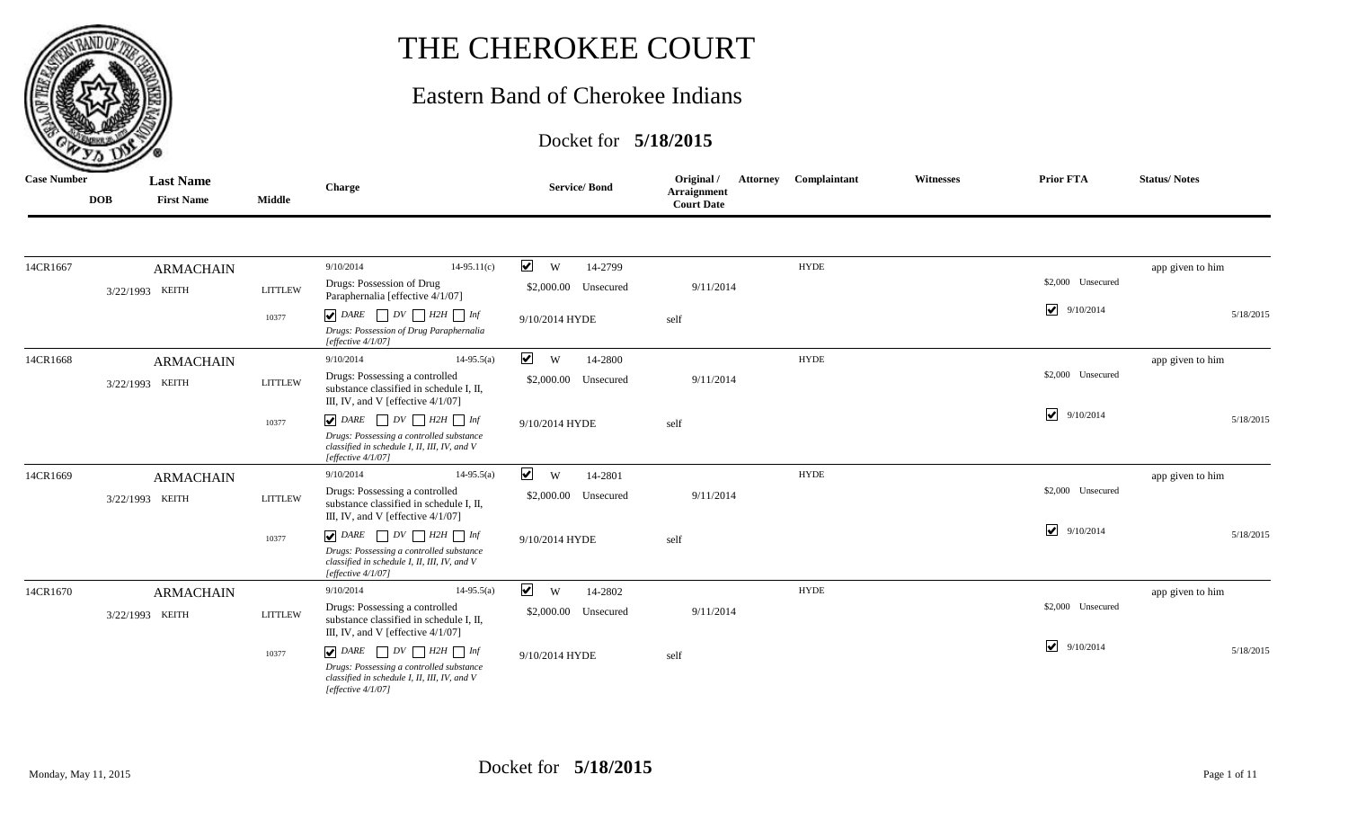

## THE CHEROKEE COURT

## Eastern Band of Cherokee Indians

## Docket for **5/18/2015**

| <b>Case Number</b> | <b>DOB</b> | <b>Last Name</b><br><b>First Name</b> | <b>Middle</b>  | Charge                                                                                                            | <b>Service/Bond</b>                  | Original /<br>Arraignment<br><b>Court Date</b> | <b>Attorney Complaintant</b> | <b>Witnesses</b> | <b>Prior FTA</b>                   | <b>Status/Notes</b> |
|--------------------|------------|---------------------------------------|----------------|-------------------------------------------------------------------------------------------------------------------|--------------------------------------|------------------------------------------------|------------------------------|------------------|------------------------------------|---------------------|
|                    |            |                                       |                |                                                                                                                   |                                      |                                                |                              |                  |                                    |                     |
| 14CR1667           |            | <b>ARMACHAIN</b>                      |                | 9/10/2014<br>$14-95.11(c)$                                                                                        | $\blacktriangledown$<br>W<br>14-2799 |                                                | <b>HYDE</b>                  |                  |                                    | app given to him    |
|                    |            | 3/22/1993 KEITH                       | <b>LITTLEW</b> | Drugs: Possession of Drug<br>Paraphernalia [effective 4/1/07]                                                     | \$2,000.00 Unsecured                 | 9/11/2014                                      |                              |                  | \$2,000 Unsecured                  |                     |
|                    |            |                                       | 10377          | $\boxed{\blacktriangledown}$ DARE $\boxed{\phantom{1}}$ DV $\boxed{\phantom{1}}$ H2H $\boxed{\phantom{1}}$ Inf    | 9/10/2014 HYDE                       | self                                           |                              |                  | 9/10/2014                          | 5/18/2015           |
|                    |            |                                       |                | Drugs: Possession of Drug Paraphernalia<br>[effective 4/1/07]                                                     |                                      |                                                |                              |                  |                                    |                     |
| 14CR1668           |            | <b>ARMACHAIN</b>                      |                | 9/10/2014<br>$14-95.5(a)$                                                                                         | $\blacktriangledown$<br>W<br>14-2800 |                                                | <b>HYDE</b>                  |                  |                                    | app given to him    |
|                    |            | 3/22/1993 KEITH                       | <b>LITTLEW</b> | Drugs: Possessing a controlled<br>substance classified in schedule I, II,<br>III, IV, and V [effective 4/1/07]    | \$2,000.00<br>Unsecured              | 9/11/2014                                      |                              |                  | \$2,000 Unsecured                  |                     |
|                    |            |                                       | 10377          | $\boxed{\blacktriangledown}$ DARE $\boxed{\phantom{1}}$ DV $\boxed{\phantom{1}}$ H2H $\boxed{\phantom{1}}$ Inf    | 9/10/2014 HYDE                       | self                                           |                              |                  | $\blacktriangledown$<br>9/10/2014  | 5/18/2015           |
|                    |            |                                       |                | Drugs: Possessing a controlled substance<br>classified in schedule I, II, III, IV, and V<br>[effective $4/1/07$ ] |                                      |                                                |                              |                  |                                    |                     |
| 14CR1669           |            | <b>ARMACHAIN</b>                      |                | 9/10/2014<br>$14-95.5(a)$                                                                                         | $\blacktriangledown$<br>W<br>14-2801 |                                                | <b>HYDE</b>                  |                  |                                    | app given to him    |
|                    |            | 3/22/1993 KEITH                       | <b>LITTLEW</b> | Drugs: Possessing a controlled<br>substance classified in schedule I, II,<br>III, IV, and V [effective $4/1/07$ ] | \$2,000.00<br>Unsecured              | 9/11/2014                                      |                              |                  | \$2,000 Unsecured                  |                     |
|                    |            |                                       | 10377          | $\bigtriangledown$ DARE $\bigcap DV \bigcap H2H \bigcap Inf$                                                      | 9/10/2014 HYDE                       | self                                           |                              |                  | 9/10/2014                          | 5/18/2015           |
|                    |            |                                       |                | Drugs: Possessing a controlled substance<br>classified in schedule I, II, III, IV, and V<br>[effective $4/1/07$ ] |                                      |                                                |                              |                  |                                    |                     |
| 14CR1670           |            | <b>ARMACHAIN</b>                      |                | $14-95.5(a)$<br>9/10/2014                                                                                         | $\blacktriangledown$<br>W<br>14-2802 |                                                | <b>HYDE</b>                  |                  |                                    | app given to him    |
|                    |            | 3/22/1993 KEITH                       | <b>LITTLEW</b> | Drugs: Possessing a controlled<br>substance classified in schedule I, II,<br>III, IV, and V [effective $4/1/07$ ] | \$2,000.00<br>Unsecured              | 9/11/2014                                      |                              |                  | \$2,000 Unsecured                  |                     |
|                    |            |                                       | 10377          | $\bigtriangledown$ DARE $\bigcap DV \bigcap H2H \bigcap Inf$                                                      | 9/10/2014 HYDE                       | self                                           |                              |                  | $\blacktriangleright$<br>9/10/2014 | 5/18/2015           |
|                    |            |                                       |                | Drugs: Possessing a controlled substance<br>classified in schedule I, II, III, IV, and V<br>[effective $4/1/07$ ] |                                      |                                                |                              |                  |                                    |                     |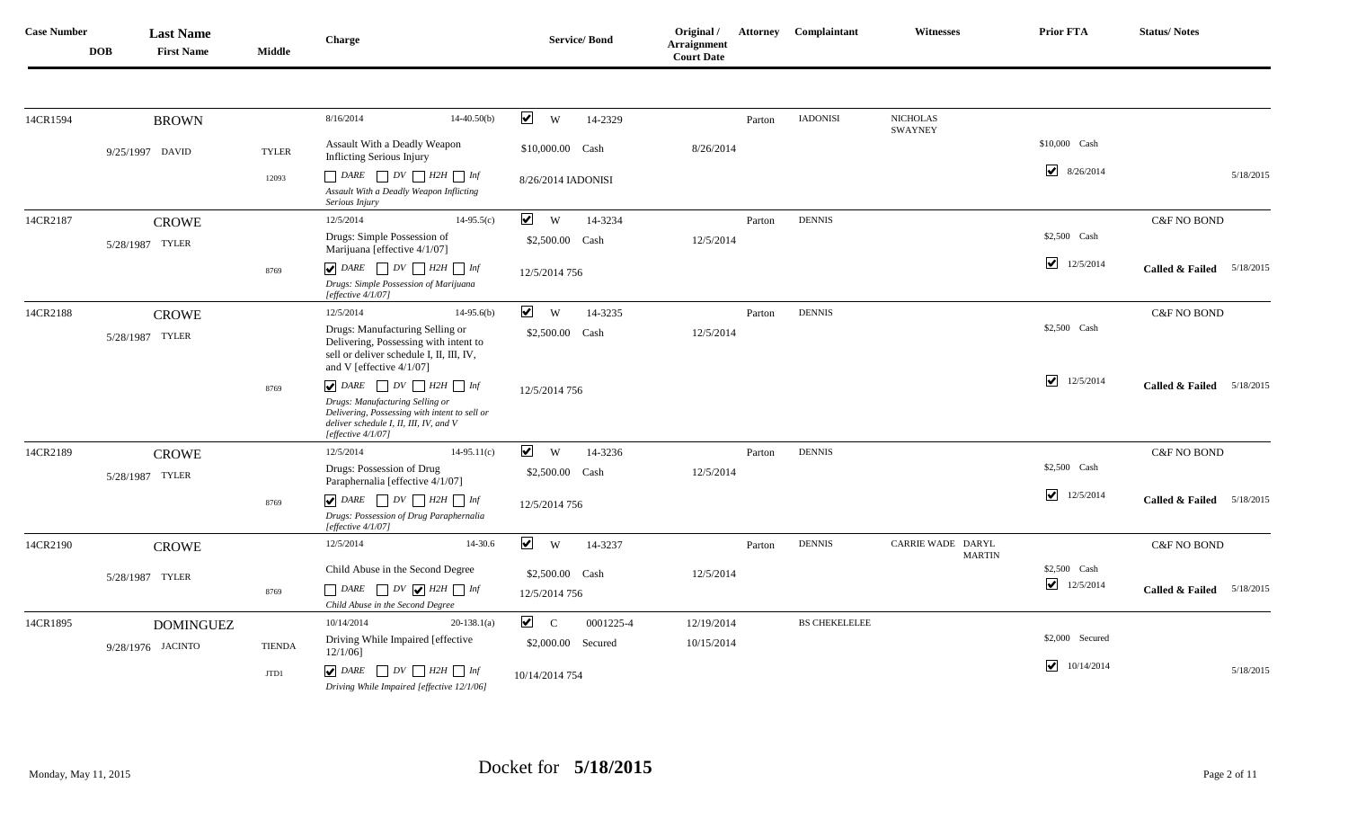| <b>Case Number</b> | <b>DOB</b> | <b>Last Name</b><br><b>First Name</b> | <b>Middle</b> | Charge                                                                                                                                              |               |                           | <b>Service/Bond</b> | Original /<br><b>Arraignment</b><br><b>Court Date</b> |        | <b>Attorney Complaintant</b> | <b>Witnesses</b>                   | <b>Prior FTA</b>                     | <b>Status/Notes</b>                     |
|--------------------|------------|---------------------------------------|---------------|-----------------------------------------------------------------------------------------------------------------------------------------------------|---------------|---------------------------|---------------------|-------------------------------------------------------|--------|------------------------------|------------------------------------|--------------------------------------|-----------------------------------------|
|                    |            |                                       |               |                                                                                                                                                     |               |                           |                     |                                                       |        |                              |                                    |                                      |                                         |
| 14CR1594           |            | <b>BROWN</b>                          |               | 8/16/2014                                                                                                                                           | $14-40.50(b)$ | $\blacktriangledown$<br>W | 14-2329             |                                                       | Parton | <b>IADONISI</b>              | <b>NICHOLAS</b><br><b>SWAYNEY</b>  |                                      |                                         |
|                    |            | 9/25/1997 DAVID                       | <b>TYLER</b>  | Assault With a Deadly Weapon<br><b>Inflicting Serious Injury</b>                                                                                    |               | \$10,000.00 Cash          |                     | 8/26/2014                                             |        |                              |                                    | \$10,000 Cash                        |                                         |
|                    |            |                                       | 12093         | $\Box$ DARE $\Box$ DV $\Box$ H2H $\Box$ Inf<br>Assault With a Deadly Weapon Inflicting<br>Serious Injury                                            |               | 8/26/2014 IADONISI        |                     |                                                       |        |                              |                                    | $\blacktriangledown$<br>8/26/2014    | 5/18/2015                               |
| 14CR2187           |            | <b>CROWE</b>                          |               | 12/5/2014                                                                                                                                           | $14-95.5(c)$  | $\blacktriangledown$<br>W | 14-3234             |                                                       | Parton | <b>DENNIS</b>                |                                    |                                      | <b>C&amp;F NO BOND</b>                  |
|                    |            | 5/28/1987 TYLER                       |               | Drugs: Simple Possession of<br>Marijuana [effective 4/1/07]                                                                                         |               | \$2,500.00 Cash           |                     | 12/5/2014                                             |        |                              |                                    | \$2,500 Cash                         |                                         |
|                    |            |                                       | 8769          | $\bigcup$ DARE $\bigcap$ DV $\bigcap$ H2H $\bigcap$ Inf                                                                                             |               | 12/5/2014 756             |                     |                                                       |        |                              |                                    | $\blacktriangledown$<br>12/5/2014    | <b>Called &amp; Failed</b><br>5/18/2015 |
|                    |            |                                       |               | Drugs: Simple Possession of Marijuana<br>[effective 4/1/07]                                                                                         |               |                           |                     |                                                       |        |                              |                                    |                                      |                                         |
| 14CR2188           |            | <b>CROWE</b>                          |               | 12/5/2014                                                                                                                                           | $14-95.6(b)$  | $\blacktriangledown$<br>W | 14-3235             |                                                       | Parton | <b>DENNIS</b>                |                                    |                                      | <b>C&amp;F NO BOND</b>                  |
|                    |            | 5/28/1987 TYLER                       |               | Drugs: Manufacturing Selling or<br>Delivering, Possessing with intent to<br>sell or deliver schedule I, II, III, IV,<br>and V [effective 4/1/07]    |               | \$2,500.00 Cash           |                     | 12/5/2014                                             |        |                              |                                    | \$2,500 Cash                         |                                         |
|                    |            |                                       | 8769          | $\bigtriangledown$ DARE $\bigcap DV \bigcap H2H \bigcap Inf$                                                                                        |               | 12/5/2014 756             |                     |                                                       |        |                              |                                    | $\overline{\mathbf{v}}$<br>12/5/2014 | <b>Called &amp; Failed</b><br>5/18/2015 |
|                    |            |                                       |               | Drugs: Manufacturing Selling or<br>Delivering, Possessing with intent to sell or<br>deliver schedule I, II, III, IV, and V<br>[effective $4/1/07$ ] |               |                           |                     |                                                       |        |                              |                                    |                                      |                                         |
| 14CR2189           |            | <b>CROWE</b>                          |               | 12/5/2014                                                                                                                                           | $14-95.11(c)$ | $\blacktriangledown$<br>W | 14-3236             |                                                       | Parton | <b>DENNIS</b>                |                                    |                                      | C&F NO BOND                             |
|                    |            | 5/28/1987 TYLER                       |               | Drugs: Possession of Drug<br>Paraphernalia [effective 4/1/07]                                                                                       |               | \$2,500.00 Cash           |                     | 12/5/2014                                             |        |                              |                                    | \$2,500 Cash                         |                                         |
|                    |            |                                       | 8769          | $\bigtriangledown$ DARE $\bigcap DV \bigcap H2H \bigcap Inf$                                                                                        |               | 12/5/2014 756             |                     |                                                       |        |                              |                                    | $\blacktriangleright$<br>12/5/2014   | 5/18/2015<br><b>Called &amp; Failed</b> |
|                    |            |                                       |               | Drugs: Possession of Drug Paraphernalia<br>[effective 4/1/07]                                                                                       |               |                           |                     |                                                       |        |                              |                                    |                                      |                                         |
| 14CR2190           |            | <b>CROWE</b>                          |               | 12/5/2014                                                                                                                                           | 14-30.6       | $\blacktriangledown$<br>W | 14-3237             |                                                       | Parton | <b>DENNIS</b>                | CARRIE WADE DARYL<br><b>MARTIN</b> |                                      | <b>C&amp;F NO BOND</b>                  |
|                    |            | 5/28/1987 TYLER                       |               | Child Abuse in the Second Degree                                                                                                                    |               | \$2,500.00 Cash           |                     | 12/5/2014                                             |        |                              |                                    | \$2,500 Cash                         |                                         |
|                    |            |                                       | 8769          | $\Box$ DARE $\Box$ DV $\bigtriangledown$ H2H $\Box$ Inf<br>Child Abuse in the Second Degree                                                         |               | 12/5/2014 756             |                     |                                                       |        |                              |                                    | 12/5/2014                            | <b>Called &amp; Failed</b><br>5/18/2015 |
| 14CR1895           |            | <b>DOMINGUEZ</b>                      |               | 10/14/2014                                                                                                                                          | $20-138.1(a)$ | $\sqrt{C}$                | 0001225-4           | 12/19/2014                                            |        | <b>BS CHEKELELEE</b>         |                                    |                                      |                                         |
|                    |            | 9/28/1976 JACINTO                     | <b>TIENDA</b> | Driving While Impaired [effective<br>$12/1/06$ ]                                                                                                    |               |                           | \$2,000.00 Secured  | 10/15/2014                                            |        |                              |                                    | \$2,000 Secured                      |                                         |
|                    |            |                                       | JTD1          | $\nabla$ DARE<br>$\Box DV \Box H2H \Box Inf$<br>Driving While Impaired [effective 12/1/06]                                                          |               | 10/14/2014 754            |                     |                                                       |        |                              |                                    | $\blacktriangledown$<br>10/14/2014   | 5/18/2015                               |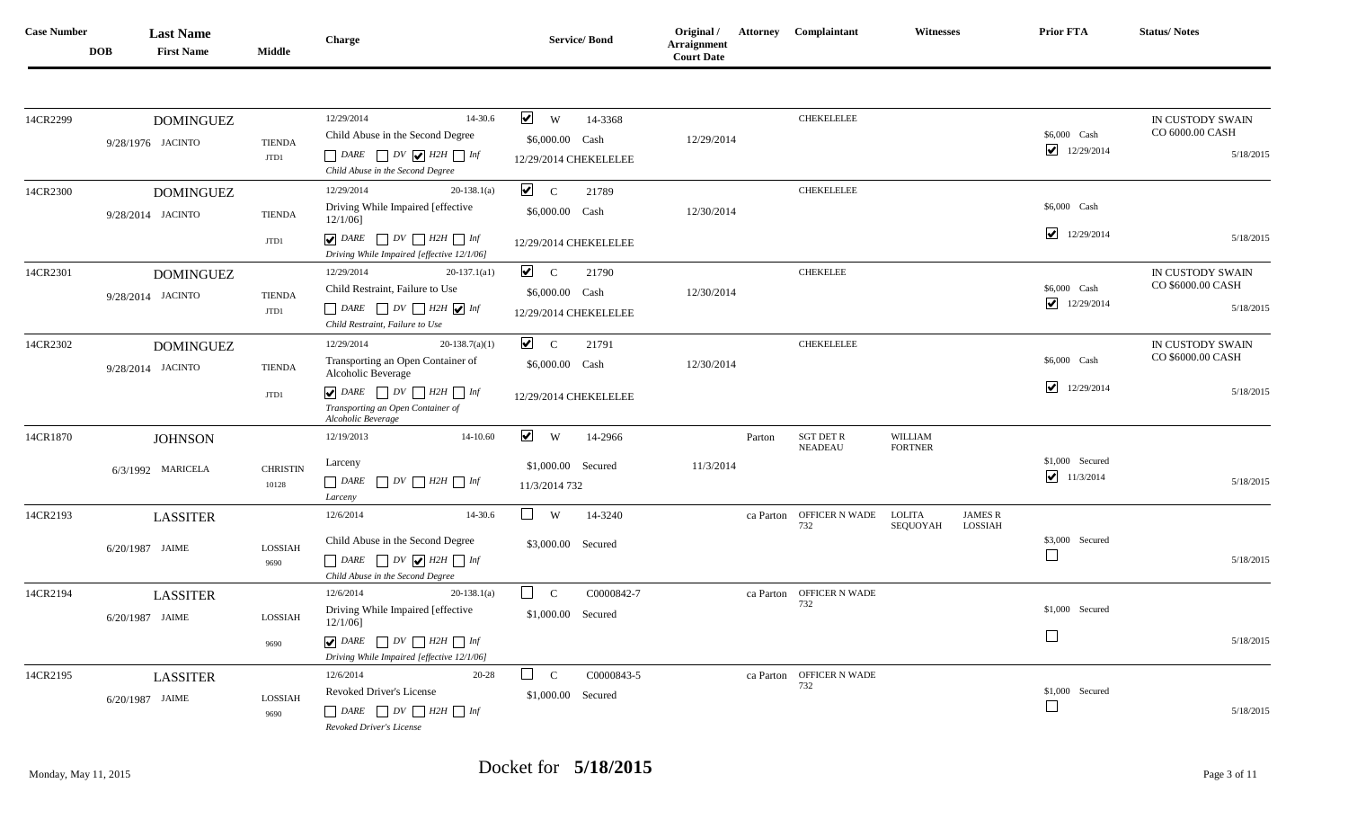| <b>Case Number</b> | <b>DOB</b> | <b>Last Name</b><br><b>First Name</b> | <b>Middle</b>            | Charge                                                                                                                                                                                                               | <b>Service/Bond</b>                                                         | Original /<br><b>Arraignment</b><br><b>Court Date</b> |        | <b>Attorney Complaintant</b>    | <b>Witnesses</b>          |                           | Prior FTA                                             | <b>Status/Notes</b>                                |
|--------------------|------------|---------------------------------------|--------------------------|----------------------------------------------------------------------------------------------------------------------------------------------------------------------------------------------------------------------|-----------------------------------------------------------------------------|-------------------------------------------------------|--------|---------------------------------|---------------------------|---------------------------|-------------------------------------------------------|----------------------------------------------------|
| 14CR2299           |            | <b>DOMINGUEZ</b><br>9/28/1976 JACINTO | <b>TIENDA</b><br>JTD1    | 12/29/2014<br>14-30.6<br>Child Abuse in the Second Degree<br>$\Box$ DARE $\Box$ DV $\bigvee$ H2H $\Box$ Inf<br>Child Abuse in the Second Degree                                                                      | $\vee$ w<br>14-3368<br>\$6,000.00 Cash<br>12/29/2014 CHEKELELEE             | 12/29/2014                                            |        | <b>CHEKELELEE</b>               |                           |                           | \$6,000 Cash<br>12/29/2014                            | IN CUSTODY SWAIN<br>CO 6000.00 CASH<br>5/18/2015   |
| 14CR2300           |            | <b>DOMINGUEZ</b><br>9/28/2014 JACINTO | <b>TIENDA</b><br>JTD1    | 12/29/2014<br>$20-138.1(a)$<br>Driving While Impaired [effective<br>$12/1/06$ ]<br>$\bigtriangledown$ DARE $\bigcap DV \bigcap H2H \bigcap Inf$<br>Driving While Impaired [effective 12/1/06]                        | $\sqrt{C}$<br>21789<br>\$6,000.00 Cash<br>12/29/2014 CHEKELELEE             | 12/30/2014                                            |        | <b>CHEKELELEE</b>               |                           |                           | \$6,000 Cash<br>$\overline{\mathbf{v}}$<br>12/29/2014 | 5/18/2015                                          |
| 14CR2301           |            | <b>DOMINGUEZ</b><br>9/28/2014 JACINTO | <b>TIENDA</b><br>JTD1    | 12/29/2014<br>$20-137.1(a1)$<br>Child Restraint, Failure to Use<br>$\Box$ DARE $\Box$ DV $\Box$ H2H $\bigvee$ Inf<br>Child Restraint, Failure to Use                                                                 | $\sqrt{C}$<br>21790<br>\$6,000.00 Cash<br>12/29/2014 CHEKELELEE             | 12/30/2014                                            |        | <b>CHEKELEE</b>                 |                           |                           | \$6,000 Cash<br>☑<br>12/29/2014                       | IN CUSTODY SWAIN<br>CO \$6000.00 CASH<br>5/18/2015 |
| 14CR2302           |            | <b>DOMINGUEZ</b><br>9/28/2014 JACINTO | <b>TIENDA</b><br>JTD1    | $20-138.7(a)(1)$<br>12/29/2014<br>Transporting an Open Container of<br>Alcoholic Beverage<br>$\bigtriangledown$ DARE $\bigcap DV \bigcap H2H \bigcap Inf$<br>Transporting an Open Container of<br>Alcoholic Beverage | $\sqrt{C}$<br>21791<br>\$6,000.00 Cash<br>12/29/2014 CHEKELELEE             | 12/30/2014                                            |        | <b>CHEKELELEE</b>               |                           |                           | \$6,000 Cash<br>$\overline{\mathbf{v}}$<br>12/29/2014 | IN CUSTODY SWAIN<br>CO \$6000.00 CASH<br>5/18/2015 |
| 14CR1870           |            | <b>JOHNSON</b><br>6/3/1992 MARICELA   | <b>CHRISTIN</b><br>10128 | 12/19/2013<br>14-10.60<br>Larceny<br>$\Box$ DARE $\Box$ DV $\Box$ H2H $\Box$ Inf<br>Larceny                                                                                                                          | $\blacktriangledown$<br>W<br>14-2966<br>\$1,000.00 Secured<br>11/3/2014 732 | 11/3/2014                                             | Parton | SGT DET R<br><b>NEADEAU</b>     | WILLIAM<br><b>FORTNER</b> |                           | \$1,000 Secured<br>$\blacktriangleright$<br>11/3/2014 | 5/18/2015                                          |
| 14CR2193           |            | <b>LASSITER</b><br>6/20/1987 JAIME    | LOSSIAH<br>9690          | 12/6/2014<br>14-30.6<br>Child Abuse in the Second Degree<br>$\Box$ DARE $\Box$ DV $\bigvee$ H2H $\Box$ Inf<br>Child Abuse in the Second Degree                                                                       | $\Box$<br>W<br>14-3240<br>\$3,000.00 Secured                                |                                                       |        | ca Parton OFFICER N WADE<br>732 | LOLITA<br>SEQUOYAH        | <b>JAMES R</b><br>LOSSIAH | \$3,000 Secured                                       | 5/18/2015                                          |
| 14CR2194           |            | <b>LASSITER</b><br>6/20/1987 JAIME    | LOSSIAH<br>9690          | 12/6/2014<br>$20-138.1(a)$<br>Driving While Impaired [effective<br>$12/1/06$ ]<br>$\bigcup$ DARE $\bigcup$ DV $\bigcup$ H2H $\bigcup$ Inf<br>Driving While Impaired [effective 12/1/06]                              | $\Box$ c<br>C0000842-7<br>\$1,000.00 Secured                                |                                                       |        | ca Parton OFFICER N WADE<br>732 |                           |                           | \$1,000 Secured                                       | 5/18/2015                                          |
| 14CR2195           |            | <b>LASSITER</b><br>6/20/1987 JAIME    | LOSSIAH<br>9690          | 12/6/2014<br>20-28<br>Revoked Driver's License<br>$\Box$ DARE $\Box$ DV $\Box$ H2H $\Box$ Inf<br>Revoked Driver's License                                                                                            | $\Box$ c<br>C0000843-5<br>\$1,000.00 Secured                                |                                                       |        | ca Parton OFFICER N WADE<br>732 |                           |                           | \$1,000 Secured                                       | 5/18/2015                                          |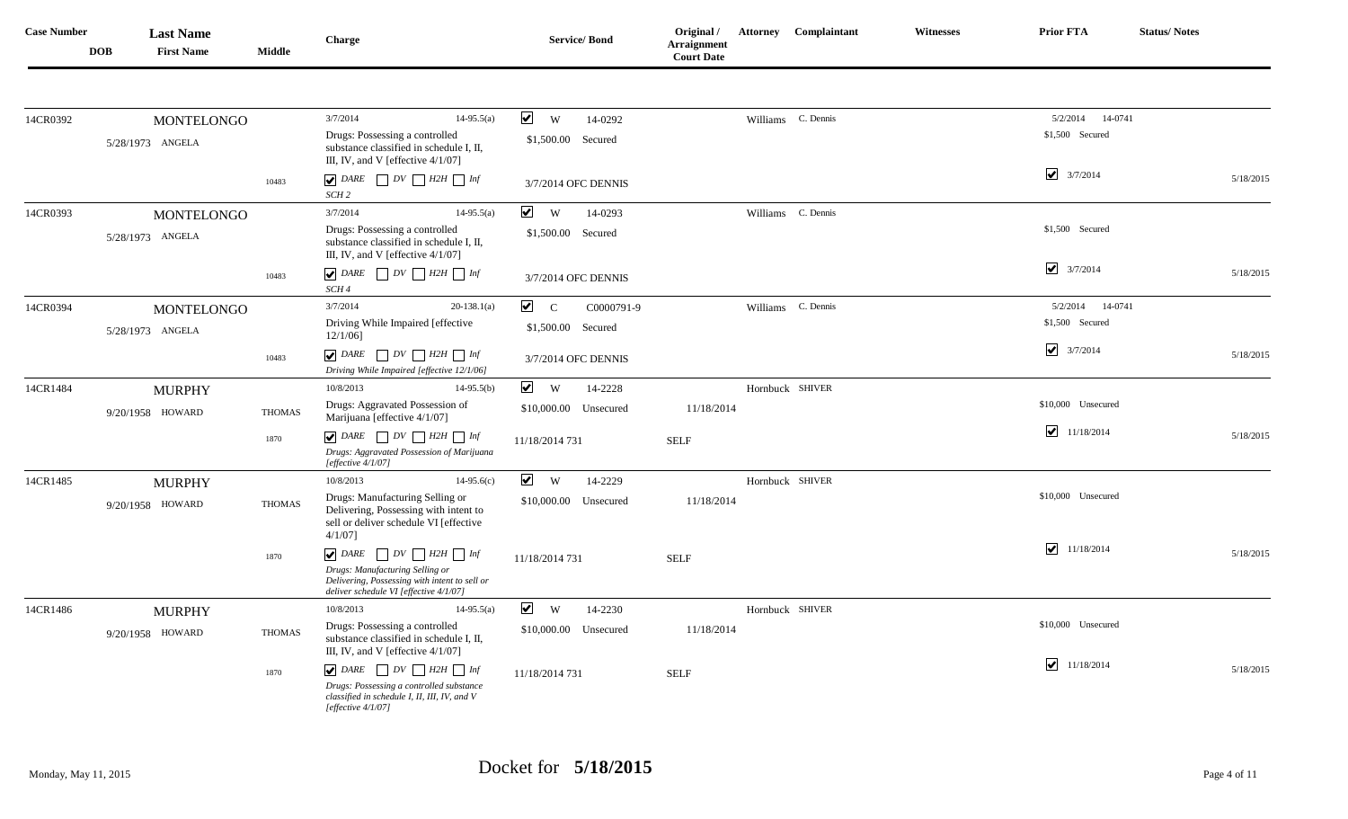| <b>Case Number</b> | <b>DOB</b> | <b>Last Name</b><br><b>First Name</b> | Middle        | Charge                                                                                                                           | <b>Service/Bond</b>                         | Original /<br><b>Arraignment</b><br><b>Court Date</b> | Attorney Complaintant | <b>Witnesses</b> | <b>Prior FTA</b>                   | <b>Status/Notes</b> |
|--------------------|------------|---------------------------------------|---------------|----------------------------------------------------------------------------------------------------------------------------------|---------------------------------------------|-------------------------------------------------------|-----------------------|------------------|------------------------------------|---------------------|
|                    |            |                                       |               |                                                                                                                                  |                                             |                                                       |                       |                  |                                    |                     |
| 14CR0392           |            | <b>MONTELONGO</b>                     |               | 3/7/2014<br>$14-95.5(a)$                                                                                                         | $\blacktriangledown$<br>W<br>14-0292        |                                                       | Williams C. Dennis    |                  | 5/2/2014 14-0741                   |                     |
|                    |            | 5/28/1973 ANGELA                      |               | Drugs: Possessing a controlled<br>substance classified in schedule I, II,<br>III, IV, and V [effective 4/1/07]                   | \$1,500.00 Secured                          |                                                       |                       |                  | \$1,500 Secured                    |                     |
|                    |            |                                       | 10483         | $\bigvee$ DARE<br>$\Box DV \Box H2H \Box Inf$<br>SCH <sub>2</sub>                                                                | 3/7/2014 OFC DENNIS                         |                                                       |                       |                  | $\sqrt{3/7/2014}$                  | 5/18/2015           |
| 14CR0393           |            | <b>MONTELONGO</b>                     |               | 3/7/2014<br>$14-95.5(a)$                                                                                                         | $\blacktriangledown$<br><b>W</b><br>14-0293 |                                                       | Williams C. Dennis    |                  |                                    |                     |
|                    |            | 5/28/1973 ANGELA                      |               | Drugs: Possessing a controlled<br>substance classified in schedule I, II,<br>III, IV, and V [effective $4/1/07$ ]                | \$1,500.00 Secured                          |                                                       |                       |                  | \$1,500 Secured                    |                     |
|                    |            |                                       | 10483         | $\bigcup$ DARE $\bigcap$ DV $\bigcap$ H2H $\bigcap$ Inf<br>SCH 4                                                                 | 3/7/2014 OFC DENNIS                         |                                                       |                       |                  | $\blacktriangledown$<br>3/7/2014   | 5/18/2015           |
| 14CR0394           |            | MONTELONGO                            |               | 3/7/2014<br>$20-138.1(a)$                                                                                                        | $\overline{\mathbf{v}}$ c<br>C0000791-9     |                                                       | Williams C. Dennis    |                  | 5/2/2014<br>14-0741                |                     |
|                    |            | 5/28/1973 ANGELA                      |               | Driving While Impaired [effective<br>$12/1/06$ ]                                                                                 | \$1,500.00 Secured                          |                                                       |                       |                  | \$1,500 Secured                    |                     |
|                    |            |                                       | 10483         | $\bigcup$ DARE $\bigcap$ DV $\bigcap$ H2H $\bigcap$ Inf<br>Driving While Impaired [effective 12/1/06]                            | 3/7/2014 OFC DENNIS                         |                                                       |                       |                  | $\blacktriangledown$<br>3/7/2014   | 5/18/2015           |
| 14CR1484           |            | <b>MURPHY</b>                         |               | 10/8/2013<br>$14-95.5(b)$                                                                                                        | $\vee$ w<br>14-2228                         |                                                       | Hornbuck SHIVER       |                  |                                    |                     |
|                    |            | 9/20/1958 HOWARD                      | <b>THOMAS</b> | Drugs: Aggravated Possession of<br>Marijuana [effective 4/1/07]                                                                  | \$10,000.00 Unsecured                       | 11/18/2014                                            |                       |                  | \$10,000 Unsecured                 |                     |
|                    |            |                                       | 1870          | $\boxed{\blacktriangledown}$ DARE $\boxed{\phantom{0}}$ DV $\boxed{\phantom{0}}$ H2H $\boxed{\phantom{0}}$ Inf                   | 11/18/2014 731                              | <b>SELF</b>                                           |                       |                  | ☑<br>11/18/2014                    | 5/18/2015           |
|                    |            |                                       |               | Drugs: Aggravated Possession of Marijuana<br>[effective $4/1/07$ ]                                                               |                                             |                                                       |                       |                  |                                    |                     |
| 14CR1485           |            | <b>MURPHY</b>                         |               | 10/8/2013<br>$14-95.6(c)$                                                                                                        | $\blacktriangledown$<br><b>W</b><br>14-2229 |                                                       | Hornbuck SHIVER       |                  |                                    |                     |
|                    |            | 9/20/1958 HOWARD                      | <b>THOMAS</b> | Drugs: Manufacturing Selling or<br>Delivering, Possessing with intent to<br>sell or deliver schedule VI [effective<br>$4/1/07$ ] | \$10,000.00 Unsecured                       | 11/18/2014                                            |                       |                  | \$10,000 Unsecured                 |                     |
|                    |            |                                       | 1870          | $\bigcup$ DARE $\bigcap$ DV $\bigcap$ H2H $\bigcap$ Inf                                                                          | 11/18/2014 731                              | <b>SELF</b>                                           |                       |                  | $\blacktriangledown$<br>11/18/2014 | 5/18/2015           |
|                    |            |                                       |               | Drugs: Manufacturing Selling or<br>Delivering, Possessing with intent to sell or<br>deliver schedule VI [effective 4/1/07]       |                                             |                                                       |                       |                  |                                    |                     |
| 14CR1486           |            | <b>MURPHY</b>                         |               | 10/8/2013<br>$14-95.5(a)$                                                                                                        | $\blacktriangledown$<br>W<br>14-2230        |                                                       | Hornbuck SHIVER       |                  |                                    |                     |
|                    |            | 9/20/1958 HOWARD                      | <b>THOMAS</b> | Drugs: Possessing a controlled<br>substance classified in schedule I, II,<br>III, IV, and V [effective 4/1/07]                   | \$10,000.00 Unsecured                       | 11/18/2014                                            |                       |                  | \$10,000 Unsecured                 |                     |
|                    |            |                                       | 1870          | $\bigtriangledown$ DARE $\bigcap DV \bigcap H2H \bigcap Inf$                                                                     | 11/18/2014 731                              | <b>SELF</b>                                           |                       |                  | $\blacktriangledown$<br>11/18/2014 | 5/18/2015           |
|                    |            |                                       |               | Drugs: Possessing a controlled substance<br>classified in schedule I, II, III, IV, and V<br>[effective 4/1/07]                   |                                             |                                                       |                       |                  |                                    |                     |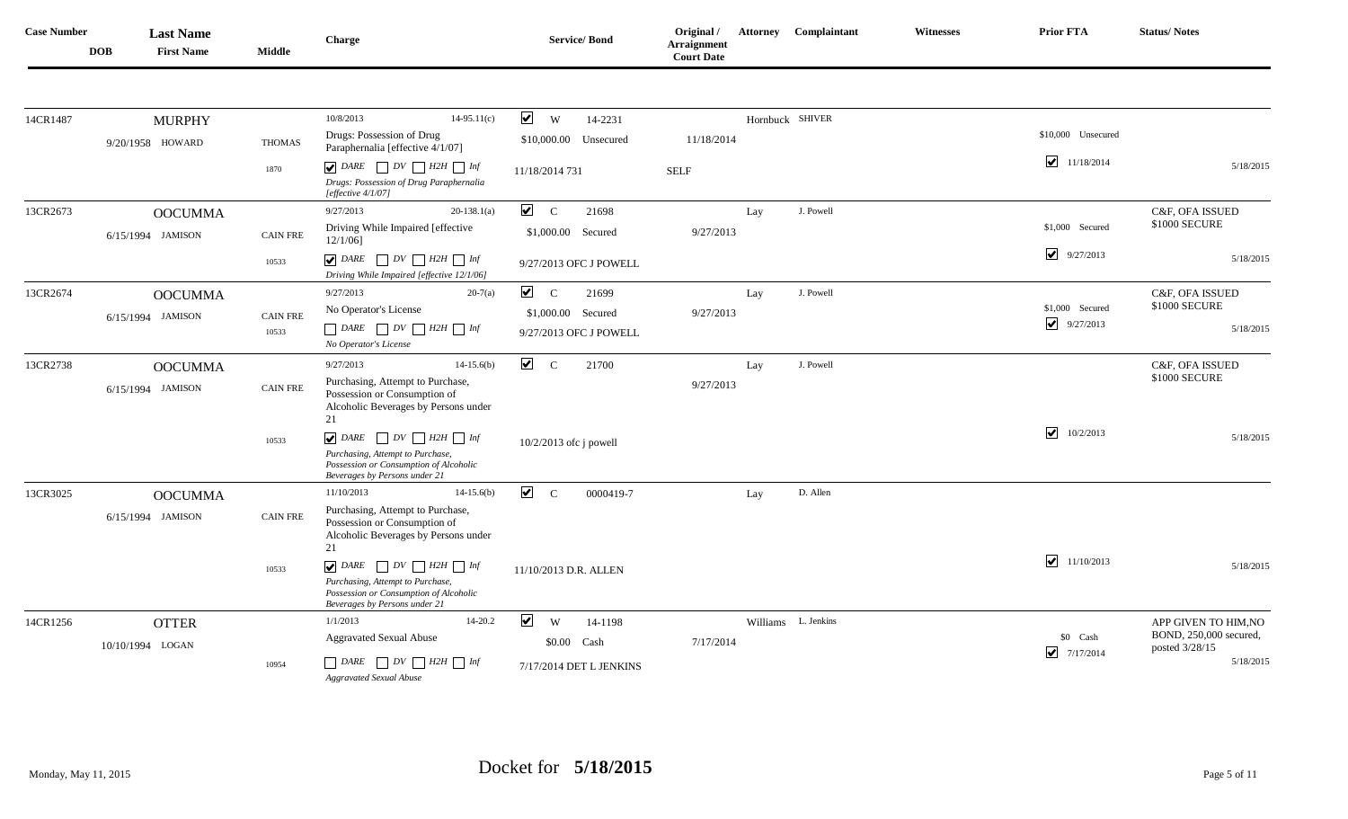| <b>Case Number</b> | <b>DOB</b> | <b>Last Name</b><br><b>First Name</b> | <b>Middle</b>   | Charge                                                                                                                                                                                                            | <b>Service/Bond</b>                              | Original /<br><b>Arraignment</b><br><b>Court Date</b> |     | <b>Attorney Complaintant</b> | <b>Witnesses</b> | <b>Prior FTA</b>                        | <b>Status/Notes</b>                      |
|--------------------|------------|---------------------------------------|-----------------|-------------------------------------------------------------------------------------------------------------------------------------------------------------------------------------------------------------------|--------------------------------------------------|-------------------------------------------------------|-----|------------------------------|------------------|-----------------------------------------|------------------------------------------|
|                    |            |                                       |                 | 10/8/2013                                                                                                                                                                                                         | $\blacktriangledown$                             |                                                       |     |                              |                  |                                         |                                          |
| 14CR1487           |            | <b>MURPHY</b><br>9/20/1958 HOWARD     | <b>THOMAS</b>   | $14-95.11(c)$<br>Drugs: Possession of Drug<br>Paraphernalia [effective 4/1/07]                                                                                                                                    | W<br>14-2231<br>\$10,000.00<br>Unsecured         | 11/18/2014                                            |     | Hornbuck SHIVER              |                  | \$10,000 Unsecured                      |                                          |
|                    |            |                                       | 1870            | $\boxed{\blacktriangledown}$ DARE $\boxed{\phantom{0}}$ DV $\boxed{\phantom{0}}$ H2H $\boxed{\phantom{0}}$ Inf<br>Drugs: Possession of Drug Paraphernalia                                                         | 11/18/2014 731                                   | <b>SELF</b>                                           |     |                              |                  | $\overline{\mathbf{v}}$<br>11/18/2014   | 5/18/2015                                |
| 13CR2673           |            | <b>OOCUMMA</b>                        |                 | [effective $4/1/07$ ]<br>9/27/2013<br>$20-138.1(a)$                                                                                                                                                               | $\blacktriangledown$<br>$\mathbf C$<br>21698     |                                                       | Lay | J. Powell                    |                  |                                         | C&F, OFA ISSUED                          |
|                    |            | 6/15/1994 JAMISON                     | <b>CAIN FRE</b> | Driving While Impaired [effective<br>$12/1/06$ ]                                                                                                                                                                  | \$1,000.00<br>Secured                            | 9/27/2013                                             |     |                              |                  | \$1,000 Secured                         | \$1000 SECURE                            |
|                    |            |                                       | 10533           | $\bigtriangledown$ DARE $\bigcap DV \bigcap H2H \bigcap Inf$<br>Driving While Impaired [effective 12/1/06]                                                                                                        | 9/27/2013 OFC J POWELL                           |                                                       |     |                              |                  | $\blacktriangledown$<br>9/27/2013       | 5/18/2015                                |
| 13CR2674           |            | <b>OOCUMMA</b>                        |                 | 9/27/2013<br>$20-7(a)$                                                                                                                                                                                            | $\blacktriangledown$<br>$\mathbf C$<br>21699     |                                                       | Lay | J. Powell                    |                  |                                         | C&F, OFA ISSUED                          |
|                    |            | 6/15/1994 JAMISON                     | <b>CAIN FRE</b> | No Operator's License                                                                                                                                                                                             | \$1,000.00 Secured                               | 9/27/2013                                             |     |                              |                  | \$1,000 Secured<br>$\blacktriangledown$ | \$1000 SECURE                            |
|                    |            |                                       | 10533           | $\Box$ DARE $\Box$ DV $\Box$ H2H $\Box$ Inf<br>No Operator's License                                                                                                                                              | 9/27/2013 OFC J POWELL                           |                                                       |     |                              |                  | 9/27/2013                               | 5/18/2015                                |
| 13CR2738           |            | <b>OOCUMMA</b>                        |                 | 9/27/2013<br>$14-15.6(b)$                                                                                                                                                                                         | $\blacktriangledown$<br>$\mathbf C$<br>21700     |                                                       | Lay | J. Powell                    |                  |                                         | C&F, OFA ISSUED                          |
|                    |            | 6/15/1994 JAMISON                     | <b>CAIN FRE</b> | Purchasing, Attempt to Purchase,<br>Possession or Consumption of<br>Alcoholic Beverages by Persons under<br>21                                                                                                    |                                                  | 9/27/2013                                             |     |                              |                  |                                         | \$1000 SECURE                            |
|                    |            |                                       | 10533           | $\bigcup$ DARE $\bigcap$ DV $\bigcap$ H2H $\bigcap$ Inf<br>Purchasing, Attempt to Purchase,<br>Possession or Consumption of Alcoholic<br>Beverages by Persons under 21                                            | $10/2/2013$ ofc j powell                         |                                                       |     |                              |                  | $\blacktriangleright$<br>10/2/2013      | 5/18/2015                                |
| 13CR3025           |            | <b>OOCUMMA</b>                        |                 | 11/10/2013<br>$14-15.6(b)$                                                                                                                                                                                        | $\blacktriangledown$<br>$\mathbf C$<br>0000419-7 |                                                       | Lay | D. Allen                     |                  |                                         |                                          |
|                    |            | 6/15/1994 JAMISON                     | <b>CAIN FRE</b> | Purchasing, Attempt to Purchase,<br>Possession or Consumption of<br>Alcoholic Beverages by Persons under<br>21                                                                                                    |                                                  |                                                       |     |                              |                  |                                         |                                          |
|                    |            |                                       | 10533           | $\boxed{\blacktriangledown}$ DARE $\boxed{\square}$ DV $\boxed{\square}$ H2H $\boxed{\square}$ Inf<br>Purchasing, Attempt to Purchase,<br>Possession or Consumption of Alcoholic<br>Beverages by Persons under 21 | 11/10/2013 D.R. ALLEN                            |                                                       |     |                              |                  | $\blacktriangleright$<br>11/10/2013     | 5/18/2015                                |
| 14CR1256           |            | <b>OTTER</b>                          |                 | 1/1/2013<br>$14 - 20.2$                                                                                                                                                                                           | $\blacktriangledown$<br>W<br>14-1198             |                                                       |     | Williams L. Jenkins          |                  |                                         | APP GIVEN TO HIM, NO                     |
|                    |            | 10/10/1994 LOGAN                      |                 | <b>Aggravated Sexual Abuse</b>                                                                                                                                                                                    | \$0.00 Cash                                      | 7/17/2014                                             |     |                              |                  | \$0 Cash                                | BOND, 250,000 secured,<br>posted 3/28/15 |
|                    |            |                                       | 10954           | $\Box$ DARE $\Box$ DV $\Box$ H2H $\Box$ Inf<br><b>Aggravated Sexual Abuse</b>                                                                                                                                     | 7/17/2014 DET L JENKINS                          |                                                       |     |                              |                  | $\blacktriangledown$<br>7/17/2014       | 5/18/2015                                |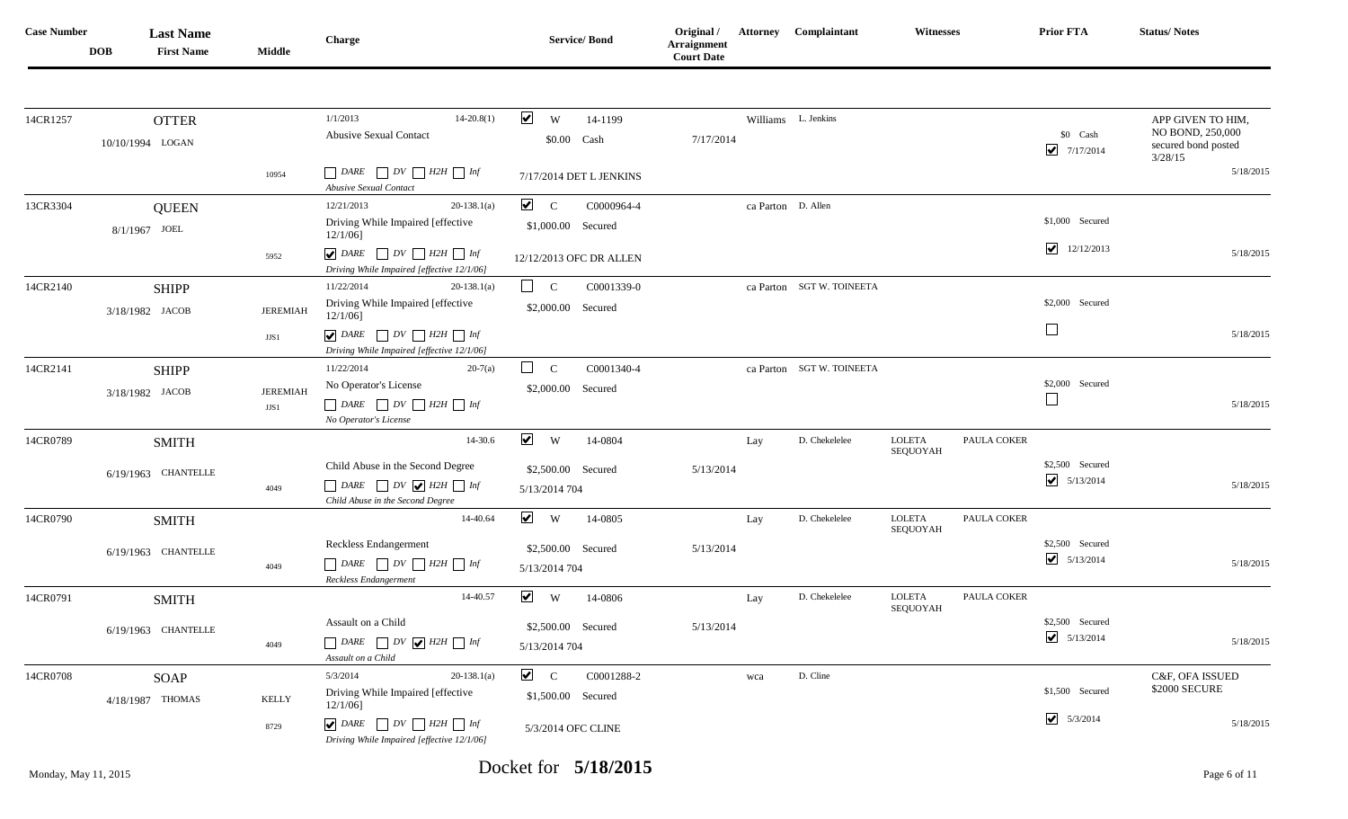| <b>Case Number</b> | <b>DOB</b> | <b>Last Name</b><br><b>First Name</b> | <b>Middle</b>           | Charge                                                                                                                                                       | <b>Service/Bond</b>                                                         | Original /<br>Arraignment<br><b>Court Date</b> |     | <b>Attorney Complaintant</b> | <b>Witnesses</b>          |             | Prior FTA                                        | <b>Status/Notes</b>                                                     |
|--------------------|------------|---------------------------------------|-------------------------|--------------------------------------------------------------------------------------------------------------------------------------------------------------|-----------------------------------------------------------------------------|------------------------------------------------|-----|------------------------------|---------------------------|-------------|--------------------------------------------------|-------------------------------------------------------------------------|
| 14CR1257           |            | <b>OTTER</b><br>10/10/1994 LOGAN      |                         | 1/1/2013<br>$14 - 20.8(1)$<br><b>Abusive Sexual Contact</b>                                                                                                  | $\blacktriangledown$<br>W<br>14-1199<br>\$0.00 Cash                         | 7/17/2014                                      |     | Williams L. Jenkins          |                           |             | \$0 Cash<br>$\overline{\mathbf{v}}$<br>7/17/2014 | APP GIVEN TO HIM,<br>NO BOND, 250,000<br>secured bond posted<br>3/28/15 |
|                    |            |                                       | 10954                   | $\Box$ DARE $\Box$ DV $\Box$ H2H $\Box$ Inf<br>Abusive Sexual Contact                                                                                        | 7/17/2014 DET L JENKINS                                                     |                                                |     |                              |                           |             |                                                  | 5/18/2015                                                               |
| 13CR3304           |            | <b>QUEEN</b><br>8/1/1967 JOEL         |                         | 12/21/2013<br>$20-138.1(a)$<br>Driving While Impaired [effective<br>$12/1/06$ ]                                                                              | $\sqrt{C}$<br>C0000964-4<br>\$1,000.00 Secured                              |                                                |     | ca Parton D. Allen           |                           |             | \$1,000 Secured                                  |                                                                         |
|                    |            |                                       | 5952                    | $\boxed{\blacktriangledown}$ DARE $\boxed{\phantom{0}}$ DV $\boxed{\phantom{0}}$ H2H $\boxed{\phantom{0}}$ Inf<br>Driving While Impaired [effective 12/1/06] | 12/12/2013 OFC DR ALLEN                                                     |                                                |     |                              |                           |             | 12/12/2013                                       | 5/18/2015                                                               |
| 14CR2140           |            | <b>SHIPP</b><br>3/18/1982 JACOB       | <b>JEREMIAH</b>         | 11/22/2014<br>$20-138.1(a)$<br>Driving While Impaired [effective<br>$12/1/06$ ]                                                                              | $\Box$ c<br>C0001339-0<br>\$2,000.00 Secured                                |                                                |     | ca Parton SGT W. TOINEETA    |                           |             | \$2,000 Secured                                  |                                                                         |
|                    |            |                                       | JJS1                    | $\bigcup$ DARE $\bigcup$ DV $\bigcup$ H2H $\bigcup$ Inf<br>Driving While Impaired [effective 12/1/06]                                                        |                                                                             |                                                |     |                              |                           |             | $\overline{\phantom{a}}$                         | 5/18/2015                                                               |
| 14CR2141           |            | <b>SHIPP</b><br>3/18/1982 JACOB       | <b>JEREMIAH</b><br>JJS1 | 11/22/2014<br>$20-7(a)$<br>No Operator's License<br>$\Box$ DARE $\Box$ DV $\Box$ H2H $\Box$ Inf<br>No Operator's License                                     | $\Box$<br>$\mathbf C$<br>C0001340-4<br>\$2,000.00 Secured                   |                                                |     | ca Parton SGT W. TOINEETA    |                           |             | \$2,000 Secured                                  | 5/18/2015                                                               |
| 14CR0789           |            | <b>SMITH</b><br>6/19/1963 CHANTELLE   | 4049                    | 14-30.6<br>Child Abuse in the Second Degree<br>$DARE$ $DV$ $H2H$ $Int$<br>Child Abuse in the Second Degree                                                   | $\blacktriangledown$<br>W<br>14-0804<br>\$2,500.00 Secured<br>5/13/2014 704 | 5/13/2014                                      | Lay | D. Chekelelee                | <b>LOLETA</b><br>SEQUOYAH | PAULA COKER | \$2,500 Secured<br>$\bigcup$ 5/13/2014           | 5/18/2015                                                               |
| 14CR0790           |            | <b>SMITH</b><br>6/19/1963 CHANTELLE   |                         | 14-40.64<br>Reckless Endangerment                                                                                                                            | $\vee$ w<br>14-0805<br>\$2,500.00 Secured                                   | 5/13/2014                                      | Lay | D. Chekelelee                | <b>LOLETA</b><br>SEQUOYAH | PAULA COKER | \$2,500 Secured                                  |                                                                         |
|                    |            |                                       | 4049                    | $\Box$ DARE $\Box$ DV $\Box$ H2H $\Box$ Inf<br>Reckless Endangerment                                                                                         | 5/13/2014 704                                                               |                                                |     |                              |                           |             | $\bigcup$ 5/13/2014                              | 5/18/2015                                                               |
| 14CR0791           |            | <b>SMITH</b><br>6/19/1963 CHANTELLE   | 4049                    | 14-40.57<br>Assault on a Child<br>$DARE$ $DV$ $H2H$ $Int$<br>Assault on a Child                                                                              | $\blacktriangledown$<br>W<br>14-0806<br>\$2,500.00 Secured<br>5/13/2014 704 | 5/13/2014                                      | Lay | D. Chekelelee                | <b>LOLETA</b><br>SEQUOYAH | PAULA COKER | \$2,500 Secured<br>$\bigcup$ 5/13/2014           | 5/18/2015                                                               |
| 14CR0708           |            | SOAP<br>4/18/1987 THOMAS              | <b>KELLY</b><br>8729    | 5/3/2014<br>$20-138.1(a)$<br>Driving While Impaired [effective<br>$12/1/06$ ]<br>$\bigcup$ DARE $\bigcap$ DV $\bigcap$ H2H $\bigcap$ Inf                     | $\sqrt{C}$<br>C0001288-2<br>\$1,500.00 Secured                              |                                                | wca | D. Cline                     |                           |             | \$1,500 Secured<br>$\bigcup$ 5/3/2014            | C&F, OFA ISSUED<br>\$2000 SECURE<br>5/18/2015                           |
|                    |            |                                       |                         | Driving While Impaired [effective 12/1/06]                                                                                                                   | 5/3/2014 OFC CLINE                                                          |                                                |     |                              |                           |             |                                                  |                                                                         |

Monday, May 11, 2015 Docket for **5/18/2015** Page 6 of 11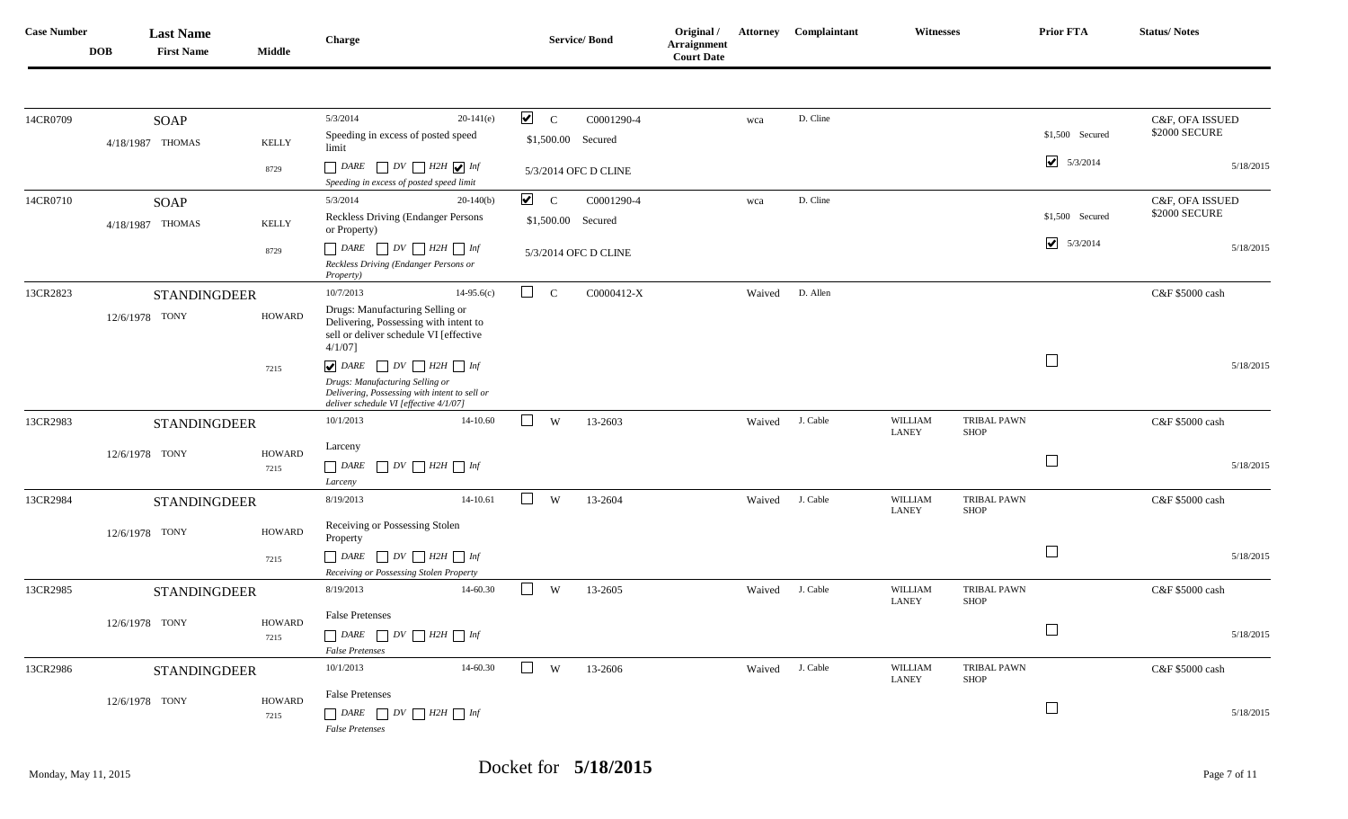| <b>Case Number</b> | <b>DOB</b> | <b>Last Name</b><br><b>First Name</b> | <b>Middle</b>         | Charge                                                                                                                                                                                     | <b>Service/Bond</b>                                                     | Original /<br>Arraignment<br><b>Court Date</b> |        | <b>Attorney Complaintant</b> | <b>Witnesses</b>        |                                   | <b>Prior FTA</b>                  | <b>Status/Notes</b>              |
|--------------------|------------|---------------------------------------|-----------------------|--------------------------------------------------------------------------------------------------------------------------------------------------------------------------------------------|-------------------------------------------------------------------------|------------------------------------------------|--------|------------------------------|-------------------------|-----------------------------------|-----------------------------------|----------------------------------|
|                    |            |                                       |                       |                                                                                                                                                                                            |                                                                         |                                                |        |                              |                         |                                   |                                   |                                  |
| 14CR0709           |            | <b>SOAP</b><br>4/18/1987 THOMAS       | <b>KELLY</b>          | 5/3/2014<br>$20-141(e)$<br>Speeding in excess of posted speed<br>limit                                                                                                                     | $\blacktriangledown$<br>$\mathbf C$<br>C0001290-4<br>\$1,500.00 Secured |                                                | wca    | D. Cline                     |                         |                                   | \$1,500 Secured                   | C&F, OFA ISSUED<br>\$2000 SECURE |
|                    |            |                                       | 8729                  | $D V$ $H2H$ $\bigvee$ Inf<br>DARE<br>Speeding in excess of posted speed limit                                                                                                              | 5/3/2014 OFC D CLINE                                                    |                                                |        |                              |                         |                                   | $\blacktriangledown$<br>5/3/2014  | 5/18/2015                        |
| 14CR0710           |            | <b>SOAP</b>                           |                       | 5/3/2014<br>$20-140(b)$                                                                                                                                                                    | $\blacktriangledown$<br>$\mathbf C$<br>C0001290-4                       |                                                | wca    | D. Cline                     |                         |                                   |                                   | C&F, OFA ISSUED                  |
|                    |            | 4/18/1987 THOMAS                      | KELLY                 | <b>Reckless Driving (Endanger Persons)</b><br>or Property)                                                                                                                                 | \$1,500.00 Secured                                                      |                                                |        |                              |                         |                                   | \$1,500 Secured                   | \$2000 SECURE                    |
|                    |            |                                       | 8729                  | $\Box$ DARE $\Box$ DV $\Box$ H2H $\Box$ Inf<br>Reckless Driving (Endanger Persons or<br><i>Property</i> )                                                                                  | 5/3/2014 OFC D CLINE                                                    |                                                |        |                              |                         |                                   | $\blacktriangleright$<br>5/3/2014 | 5/18/2015                        |
| 13CR2823           |            | <b>STANDINGDEER</b>                   |                       | 10/7/2013<br>$14-95.6(c)$                                                                                                                                                                  | $\Box$<br>$\mathbf C$<br>C0000412-X                                     |                                                | Waived | D. Allen                     |                         |                                   |                                   | C&F \$5000 cash                  |
|                    |            | 12/6/1978 TONY                        | <b>HOWARD</b>         | Drugs: Manufacturing Selling or<br>Delivering, Possessing with intent to<br>sell or deliver schedule VI [effective<br>$4/1/07$ ]                                                           |                                                                         |                                                |        |                              |                         |                                   |                                   |                                  |
|                    |            |                                       | 7215                  | $\bigtriangledown$ DARE $\bigcap DV \bigcap H2H \bigcap Inf$<br>Drugs: Manufacturing Selling or<br>Delivering, Possessing with intent to sell or<br>deliver schedule VI [effective 4/1/07] |                                                                         |                                                |        |                              |                         |                                   | $\Box$                            | 5/18/2015                        |
| 13CR2983           |            | <b>STANDINGDEER</b>                   |                       | 10/1/2013<br>14-10.60                                                                                                                                                                      | $\Box$<br>W<br>13-2603                                                  |                                                | Waived | J. Cable                     | WILLIAM<br><b>LANEY</b> | <b>TRIBAL PAWN</b><br><b>SHOP</b> |                                   | C&F \$5000 cash                  |
|                    |            | 12/6/1978 TONY                        | <b>HOWARD</b><br>7215 | Larceny<br>$\Box$ DV $\Box$ H2H $\Box$ Inf<br>$\Box$ DARE<br>Larceny                                                                                                                       |                                                                         |                                                |        |                              |                         |                                   | $\Box$                            | 5/18/2015                        |
| 13CR2984           |            | <b>STANDINGDEER</b>                   |                       | 14-10.61<br>8/19/2013                                                                                                                                                                      | $\Box$<br>W<br>13-2604                                                  |                                                | Waived | J. Cable                     | <b>WILLIAM</b><br>LANEY | <b>TRIBAL PAWN</b><br><b>SHOP</b> |                                   | C&F \$5000 cash                  |
|                    |            | 12/6/1978 TONY                        | HOWARD                | Receiving or Possessing Stolen<br>Property                                                                                                                                                 |                                                                         |                                                |        |                              |                         |                                   |                                   |                                  |
|                    |            |                                       | 7215                  | $\Box DV \Box H2H \Box Inf$<br>DARE<br>Receiving or Possessing Stolen Property                                                                                                             |                                                                         |                                                |        |                              |                         |                                   | $\Box$                            | 5/18/2015                        |
| 13CR2985           |            | <b>STANDINGDEER</b>                   |                       | 8/19/2013<br>14-60.30                                                                                                                                                                      | $\begin{array}{c} \hline \end{array}$<br>W<br>13-2605                   |                                                | Waived | J. Cable                     | WILLIAM<br><b>LANEY</b> | TRIBAL PAWN<br><b>SHOP</b>        |                                   | C&F \$5000 cash                  |
|                    |            | 12/6/1978 TONY                        | <b>HOWARD</b>         | <b>False Pretenses</b>                                                                                                                                                                     |                                                                         |                                                |        |                              |                         |                                   |                                   |                                  |
|                    |            |                                       | 7215                  | <b>False Pretenses</b>                                                                                                                                                                     |                                                                         |                                                |        |                              |                         |                                   | $\hfill \square$                  | 5/18/2015                        |
| 13CR2986           |            | <b>STANDINGDEER</b>                   |                       | 10/1/2013<br>14-60.30                                                                                                                                                                      | $\Box$<br>W<br>13-2606                                                  |                                                | Waived | J. Cable                     | WILLIAM<br><b>LANEY</b> | <b>TRIBAL PAWN</b><br>SHOP        |                                   | C&F \$5000 cash                  |
|                    |            | 12/6/1978 TONY                        | <b>HOWARD</b>         | <b>False Pretenses</b>                                                                                                                                                                     |                                                                         |                                                |        |                              |                         |                                   |                                   |                                  |
|                    |            |                                       | 7215                  | $\Box$ DARE $\Box$ DV $\Box$ H2H $\Box$ Inf<br><b>False Pretenses</b>                                                                                                                      |                                                                         |                                                |        |                              |                         |                                   | $\Box$                            | 5/18/2015                        |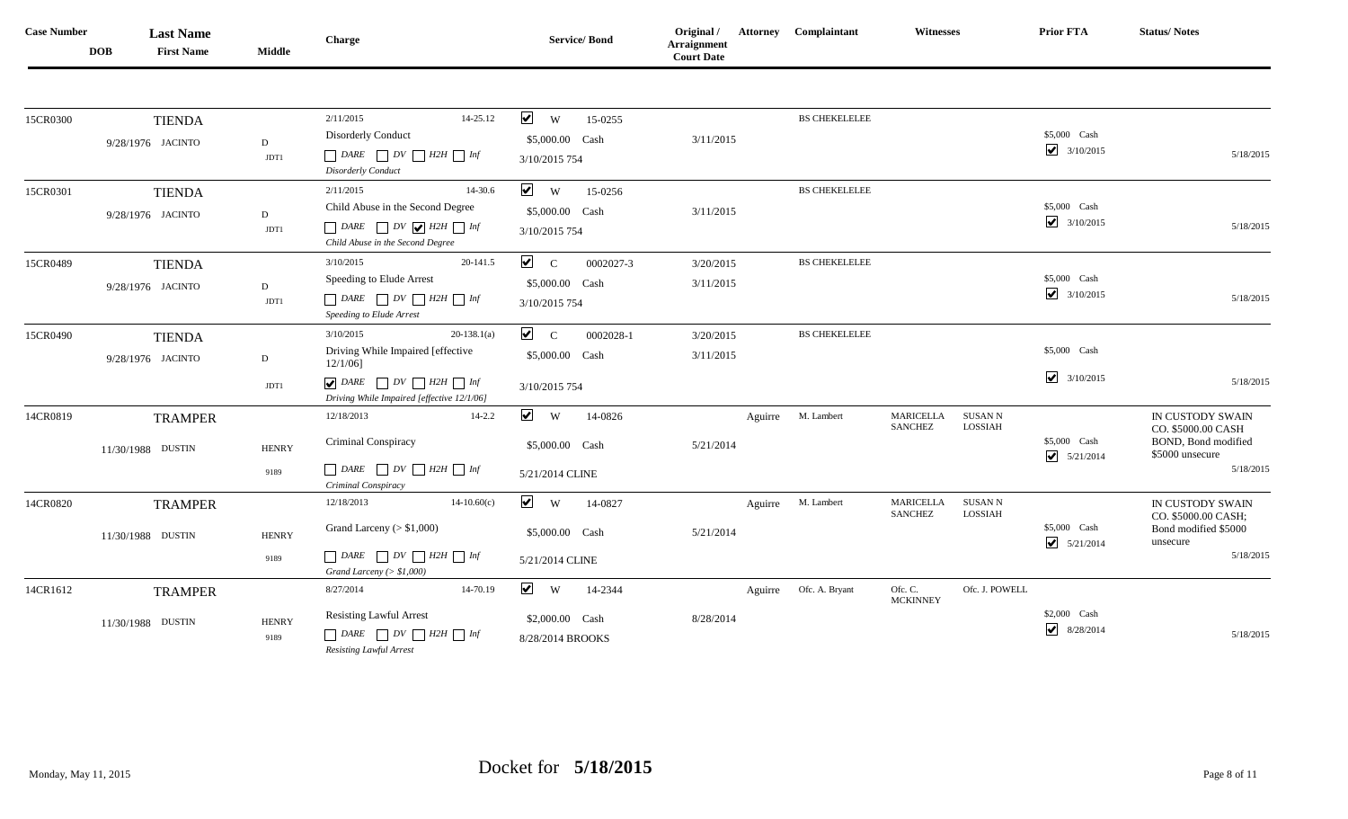| <b>Case Number</b> | <b>DOB</b> | <b>Last Name</b><br><b>First Name</b> | <b>Middle</b>        | Charge                                                                                                                                                              | <b>Service/Bond</b>                                         | Original /<br>Arraignment<br><b>Court Date</b> |         | <b>Attorney Complaintant</b> | <b>Witnesses</b>                   |                    | Prior FTA                            | <b>Status/Notes</b>                                                                           |
|--------------------|------------|---------------------------------------|----------------------|---------------------------------------------------------------------------------------------------------------------------------------------------------------------|-------------------------------------------------------------|------------------------------------------------|---------|------------------------------|------------------------------------|--------------------|--------------------------------------|-----------------------------------------------------------------------------------------------|
|                    |            |                                       |                      |                                                                                                                                                                     |                                                             |                                                |         |                              |                                    |                    |                                      |                                                                                               |
| 15CR0300           |            | <b>TIENDA</b><br>9/28/1976 JACINTO    | $\,$ D<br>JDT1       | 14-25.12<br>2/11/2015<br><b>Disorderly Conduct</b><br>$\Box$ DARE $\Box$ DV $\Box$ H2H $\Box$ Inf<br>Disorderly Conduct                                             | $\vee$ w<br>15-0255<br>\$5,000.00 Cash<br>3/10/2015 754     | 3/11/2015                                      |         | <b>BS CHEKELELEE</b>         |                                    |                    | \$5,000 Cash<br>$\bigcup$ 3/10/2015  | 5/18/2015                                                                                     |
| 15CR0301           |            | <b>TIENDA</b><br>9/28/1976 JACINTO    | $\,$ D<br>JDT1       | 2/11/2015<br>14-30.6<br>Child Abuse in the Second Degree<br>$\Box$ DARE $\Box$ DV $\bigvee$ H2H $\Box$ Inf<br>Child Abuse in the Second Degree                      | $\vee$ w<br>15-0256<br>\$5,000.00 Cash<br>3/10/2015 754     | 3/11/2015                                      |         | <b>BS CHEKELELEE</b>         |                                    |                    | \$5,000 Cash<br>$\bigvee$ 3/10/2015  | 5/18/2015                                                                                     |
| 15CR0489           |            | <b>TIENDA</b><br>9/28/1976 JACINTO    | D<br>JDT1            | 3/10/2015<br>20-141.5<br>Speeding to Elude Arrest<br>$\Box$ DARE $\Box$ DV $\Box$ H2H $\Box$ Inf<br>Speeding to Elude Arrest                                        | $\sqrt{C}$<br>0002027-3<br>\$5,000.00 Cash<br>3/10/2015 754 | 3/20/2015<br>3/11/2015                         |         | <b>BS CHEKELELEE</b>         |                                    |                    | \$5,000 Cash<br>$\bigcirc$ 3/10/2015 | 5/18/2015                                                                                     |
| 15CR0490           |            | <b>TIENDA</b><br>9/28/1976 JACINTO    | ${\rm D}$<br>JDT1    | $20-138.1(a)$<br>3/10/2015<br>Driving While Impaired [effective<br>$12/1/06$ ]<br>$\bigtriangledown$ DARE $\bigcap DV \bigcap H2H \bigcap Inf$                      | $\sqrt{C}$<br>0002028-1<br>\$5,000.00 Cash<br>3/10/2015 754 | 3/20/2015<br>3/11/2015                         |         | <b>BS CHEKELELEE</b>         |                                    |                    | \$5,000 Cash<br>$\bigvee$ 3/10/2015  | 5/18/2015                                                                                     |
| 14CR0819           |            | <b>TRAMPER</b><br>11/30/1988 DUSTIN   | <b>HENRY</b><br>9189 | Driving While Impaired [effective 12/1/06]<br>12/18/2013<br>$14 - 2.2$<br>Criminal Conspiracy<br>$\Box$ DARE $\Box$ DV $\Box$ H2H $\Box$ Inf<br>Criminal Conspiracy | $\vee$ w<br>14-0826<br>\$5,000.00 Cash<br>5/21/2014 CLINE   | 5/21/2014                                      |         | Aguirre M. Lambert           | MARICELLA<br><b>SANCHEZ</b>        | SUSAN N<br>LOSSIAH | \$5,000 Cash<br>$\bigcirc$ 5/21/2014 | IN CUSTODY SWAIN<br>CO. \$5000.00 CASH<br>BOND, Bond modified<br>\$5000 unsecure<br>5/18/2015 |
| 14CR0820           |            | <b>TRAMPER</b><br>11/30/1988 DUSTIN   | <b>HENRY</b><br>9189 | 12/18/2013<br>$14-10.60(c)$<br>Grand Larceny $(> $1,000)$<br>Grand Larceny ( $> $1,000$ )                                                                           | $\vee$ w<br>14-0827<br>\$5,000.00 Cash<br>5/21/2014 CLINE   | 5/21/2014                                      | Aguirre | M. Lambert                   | <b>MARICELLA</b><br><b>SANCHEZ</b> | SUSAN N<br>LOSSIAH | \$5,000 Cash<br>$\bigcup$ 5/21/2014  | IN CUSTODY SWAIN<br>CO. \$5000.00 CASH;<br>Bond modified \$5000<br>unsecure<br>5/18/2015      |
| 14CR1612           |            | <b>TRAMPER</b><br>11/30/1988 DUSTIN   | <b>HENRY</b><br>9189 | 14-70.19<br>8/27/2014<br><b>Resisting Lawful Arrest</b><br>$\Box$ DARE $\Box$ DV $\Box$ H2H $\Box$ Inf<br>Resisting Lawful Arrest                                   | $\vee$ w<br>14-2344<br>\$2,000.00 Cash<br>8/28/2014 BROOKS  | 8/28/2014                                      |         | Aguirre Ofc. A. Bryant       | Ofc. C.<br><b>MCKINNEY</b>         | Ofc. J. POWELL     | \$2,000 Cash<br>8/28/2014            | 5/18/2015                                                                                     |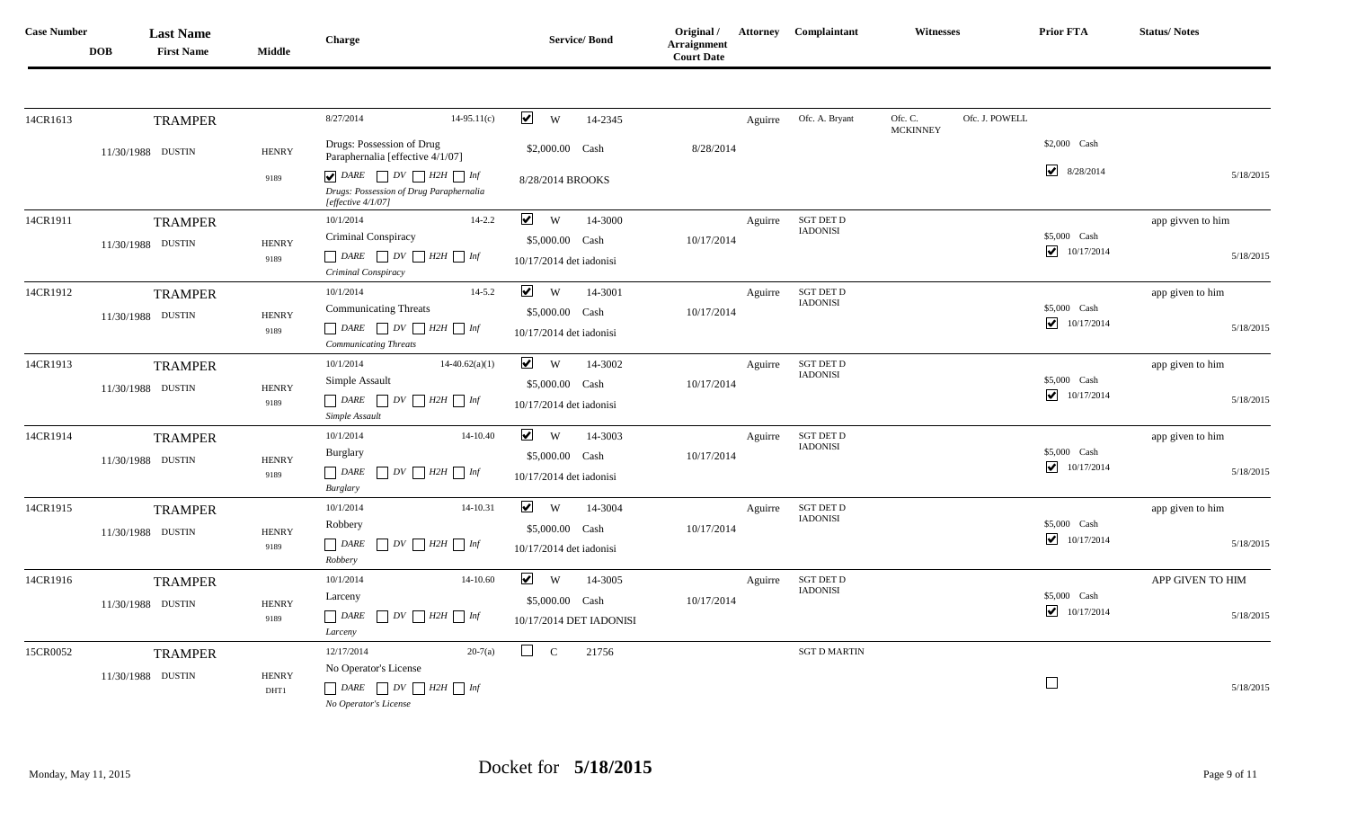| <b>Case Number</b> | <b>DOB</b> | <b>Last Name</b><br><b>First Name</b> | <b>Middle</b>          | <b>Charge</b>                                                                                                                    | <b>Service/Bond</b>                         | Original /<br><b>Arraignment</b><br><b>Court Date</b> |         | <b>Attorney Complaintant</b>        | <b>Witnesses</b>           |                | Prior FTA                  | <b>Status/Notes</b> |
|--------------------|------------|---------------------------------------|------------------------|----------------------------------------------------------------------------------------------------------------------------------|---------------------------------------------|-------------------------------------------------------|---------|-------------------------------------|----------------------------|----------------|----------------------------|---------------------|
|                    |            |                                       |                        |                                                                                                                                  | $\blacktriangledown$                        |                                                       |         |                                     |                            | Ofc. J. POWELL |                            |                     |
| 14CR1613           |            | <b>TRAMPER</b>                        |                        | 8/27/2014<br>$14-95.11(c)$                                                                                                       | <b>W</b><br>14-2345                         |                                                       | Aguirre | Ofc. A. Bryant                      | Ofc. C.<br><b>MCKINNEY</b> |                |                            |                     |
|                    |            | 11/30/1988 DUSTIN                     | <b>HENRY</b>           | Drugs: Possession of Drug<br>Paraphernalia [effective 4/1/07]                                                                    | \$2,000.00 Cash                             | 8/28/2014                                             |         |                                     |                            |                | \$2,000 Cash               |                     |
|                    |            |                                       | 9189                   | $\bigtriangledown$ DARE $\bigcap DV \bigcap H2H \bigcap Inf$<br>Drugs: Possession of Drug Paraphernalia<br>[effective $4/1/07$ ] | 8/28/2014 BROOKS                            |                                                       |         |                                     |                            |                | $\bigvee$ 8/28/2014        | 5/18/2015           |
| 14CR1911           |            | <b>TRAMPER</b>                        |                        | 10/1/2014<br>$14 - 2.2$                                                                                                          | $\vee$ w<br>14-3000                         |                                                       | Aguirre | <b>SGT DET D</b><br><b>IADONISI</b> |                            |                |                            | app givven to him   |
|                    |            | 11/30/1988 DUSTIN                     | <b>HENRY</b><br>9189   | Criminal Conspiracy<br>$\Box$ DARE $\Box$ DV $\Box$ H2H $\Box$ Inf<br>Criminal Conspiracy                                        | \$5,000.00 Cash<br>10/17/2014 det iadonisi  | 10/17/2014                                            |         |                                     |                            |                | \$5,000 Cash<br>10/17/2014 | 5/18/2015           |
| 14CR1912           |            | <b>TRAMPER</b>                        |                        | 10/1/2014<br>$14 - 5.2$                                                                                                          | $\blacktriangledown$<br>W<br>14-3001        |                                                       | Aguirre | <b>SGT DET D</b><br><b>IADONISI</b> |                            |                |                            | app given to him    |
|                    |            | 11/30/1988 DUSTIN                     | <b>HENRY</b><br>9189   | <b>Communicating Threats</b><br>$\Box$ DARE $\Box$ DV $\Box$ H2H $\Box$ Inf<br><b>Communicating Threats</b>                      | \$5,000.00 Cash<br>10/17/2014 det iadonisi  | 10/17/2014                                            |         |                                     |                            |                | \$5,000 Cash<br>10/17/2014 | 5/18/2015           |
| 14CR1913           |            | <b>TRAMPER</b>                        |                        | $14-40.62(a)(1)$<br>10/1/2014                                                                                                    | $\blacktriangledown$<br><b>W</b><br>14-3002 |                                                       | Aguirre | <b>SGT DET D</b><br><b>IADONISI</b> |                            |                |                            | app given to him    |
|                    |            | 11/30/1988 DUSTIN                     | <b>HENRY</b><br>9189   | Simple Assault<br>$\Box$ DARE $\Box$ DV $\Box$ H2H $\Box$ Inf<br>Simple Assault                                                  | \$5,000.00 Cash<br>10/17/2014 det iadonisi  | 10/17/2014                                            |         |                                     |                            |                | \$5,000 Cash<br>10/17/2014 | 5/18/2015           |
| 14CR1914           |            | <b>TRAMPER</b>                        |                        | 10/1/2014<br>14-10.40                                                                                                            | $\blacktriangledown$<br>W<br>14-3003        |                                                       | Aguirre | <b>SGT DET D</b>                    |                            |                |                            | app given to him    |
|                    |            | 11/30/1988 DUSTIN                     | <b>HENRY</b><br>9189   | <b>Burglary</b><br>$\Box$ DV $\Box$ H2H $\Box$ Inf<br>$\Box$ DARE<br>Burglary                                                    | \$5,000.00 Cash<br>10/17/2014 det iadonisi  | 10/17/2014                                            |         | <b>IADONISI</b>                     |                            |                | \$5,000 Cash<br>10/17/2014 | 5/18/2015           |
| 14CR1915           |            | <b>TRAMPER</b>                        |                        | 10/1/2014<br>14-10.31                                                                                                            | $\blacktriangledown$<br><b>W</b><br>14-3004 |                                                       | Aguirre | <b>SGT DET D</b><br><b>IADONISI</b> |                            |                |                            | app given to him    |
|                    |            | 11/30/1988 DUSTIN                     | <b>HENRY</b><br>9189   | Robbery<br>$\Box$ DV $\Box$ H2H $\Box$ Inf<br>DARE<br>Robbery                                                                    | \$5,000.00 Cash<br>10/17/2014 det iadonisi  | 10/17/2014                                            |         |                                     |                            |                | \$5,000 Cash<br>10/17/2014 | 5/18/2015           |
| 14CR1916           |            | <b>TRAMPER</b>                        |                        | 10/1/2014<br>14-10.60                                                                                                            | $\vee$ w<br>14-3005                         |                                                       | Aguirre | <b>SGT DET D</b>                    |                            |                |                            | APP GIVEN TO HIM    |
|                    |            | 11/30/1988 DUSTIN                     | <b>HENRY</b>           | Larceny                                                                                                                          | \$5,000.00 Cash                             | 10/17/2014                                            |         | <b>IADONISI</b>                     |                            |                | \$5,000 Cash<br>10/17/2014 |                     |
|                    |            |                                       | 9189                   | $\Box$ DARE<br>$\Box$ DV $\Box$ H2H $\Box$ Inf<br>Larceny                                                                        | 10/17/2014 DET IADONISI                     |                                                       |         |                                     |                            |                |                            | 5/18/2015           |
| 15CR0052           |            | <b>TRAMPER</b>                        |                        | 12/17/2014<br>$20-7(a)$                                                                                                          | $\Box$<br>$\mathbf C$<br>21756              |                                                       |         | <b>SGT D MARTIN</b>                 |                            |                |                            |                     |
|                    |            | 11/30/1988 DUSTIN                     | $\operatorname{HENRY}$ | No Operator's License<br>$\Box$ DARE $\Box$ DV $\Box$ H2H $\Box$ Inf                                                             |                                             |                                                       |         |                                     |                            |                | $\Box$                     | 5/18/2015           |
|                    |            |                                       | DHT1                   | No Operator's License                                                                                                            |                                             |                                                       |         |                                     |                            |                |                            |                     |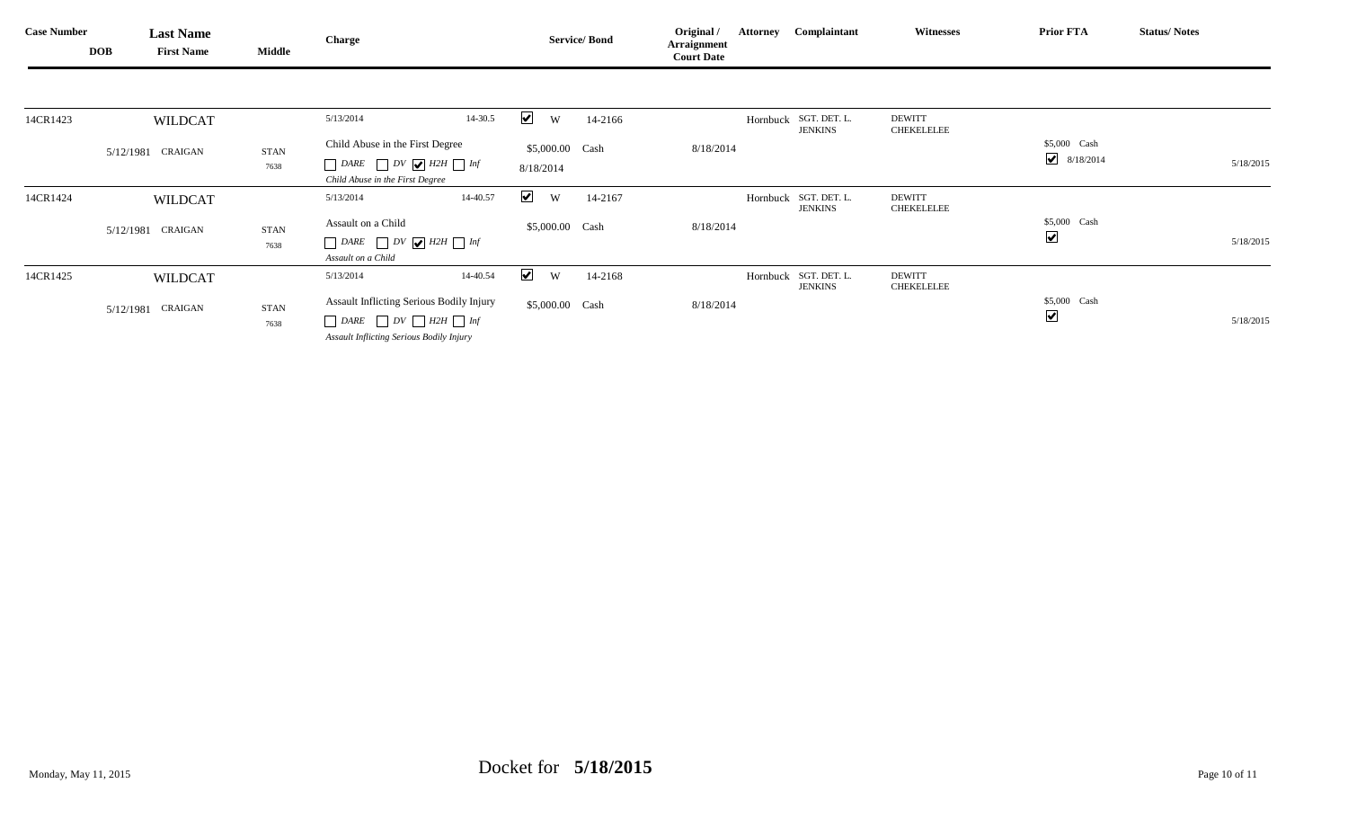| <b>Case Number</b> | <b>DOB</b> | <b>Last Name</b><br><b>First Name</b> | Middle      | <b>Charge</b>                                              | <b>Service/Bond</b>                  | Original /<br>Arraignment<br><b>Court Date</b> | <b>Attorney Complaintant</b>            | <b>Witnesses</b>                   | <b>Prior FTA</b>        | <b>Status/Notes</b> |
|--------------------|------------|---------------------------------------|-------------|------------------------------------------------------------|--------------------------------------|------------------------------------------------|-----------------------------------------|------------------------------------|-------------------------|---------------------|
|                    |            |                                       |             |                                                            |                                      |                                                |                                         |                                    |                         |                     |
| 14CR1423           |            | <b>WILDCAT</b>                        |             | $14 - 30.5$<br>5/13/2014                                   | $\blacktriangledown$<br>W<br>14-2166 |                                                | Hornbuck SGT. DET. L.<br><b>JENKINS</b> | <b>DEWITT</b><br><b>CHEKELELEE</b> |                         |                     |
|                    |            | 5/12/1981 CRAIGAN                     | <b>STAN</b> | Child Abuse in the First Degree                            | \$5,000.00 Cash                      | 8/18/2014                                      |                                         |                                    | \$5,000 Cash            |                     |
|                    |            |                                       | 7638        | $DARE$ $DV$ $H2H$ $Inf$<br>Child Abuse in the First Degree | 8/18/2014                            |                                                |                                         |                                    | $\bigvee$ 8/18/2014     | 5/18/2015           |
| 14CR1424           |            | <b>WILDCAT</b>                        |             | 14-40.57<br>5/13/2014                                      | $\blacktriangledown$<br>W<br>14-2167 |                                                | Hornbuck SGT. DET. L.<br>JENKINS        | <b>DEWITT</b><br><b>CHEKELELEE</b> |                         |                     |
|                    |            | 5/12/1981 CRAIGAN                     | <b>STAN</b> | Assault on a Child                                         | \$5,000.00 Cash                      | 8/18/2014                                      |                                         |                                    | \$5,000 Cash            |                     |
|                    |            |                                       | 7638        | $DARE$ $DV$ $H2H$ $Inf$                                    |                                      |                                                |                                         |                                    | $\blacktriangledown$    | 5/18/2015           |
|                    |            |                                       |             | Assault on a Child                                         |                                      |                                                |                                         |                                    |                         |                     |
| 14CR1425           |            | <b>WILDCAT</b>                        |             | 14-40.54<br>5/13/2014                                      | $\blacktriangledown$<br>W<br>14-2168 |                                                | Hornbuck SGT. DET. L.<br>JENKINS        | <b>DEWITT</b><br><b>CHEKELELEE</b> |                         |                     |
|                    |            | 5/12/1981 CRAIGAN                     | STAN        | Assault Inflicting Serious Bodily Injury                   | \$5,000.00 Cash                      | 8/18/2014                                      |                                         |                                    | \$5,000 Cash            |                     |
|                    |            |                                       | 7638        | $\Box$ DARE $\Box$ DV $\Box$ H2H $\Box$ Inf                |                                      |                                                |                                         |                                    | $\overline{\mathbf{v}}$ | 5/18/2015           |
|                    |            |                                       |             | Assault Inflicting Serious Bodily Injury                   |                                      |                                                |                                         |                                    |                         |                     |